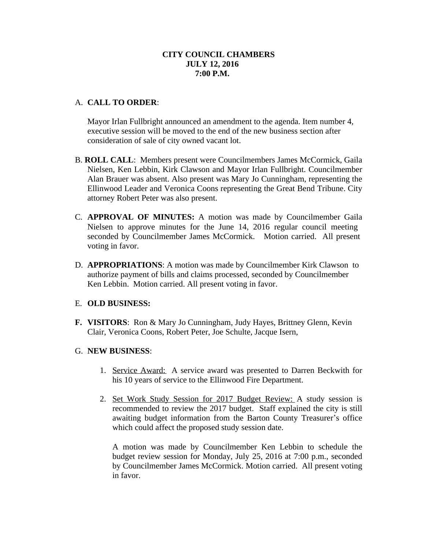# **CITY COUNCIL CHAMBERS JULY 12, 2016 7:00 P.M.**

# A. **CALL TO ORDER**:

Mayor Irlan Fullbright announced an amendment to the agenda. Item number 4, executive session will be moved to the end of the new business section after consideration of sale of city owned vacant lot.

- B. **ROLL CALL**: Members present were Councilmembers James McCormick, Gaila Nielsen, Ken Lebbin, Kirk Clawson and Mayor Irlan Fullbright. Councilmember Alan Brauer was absent. Also present was Mary Jo Cunningham, representing the Ellinwood Leader and Veronica Coons representing the Great Bend Tribune. City attorney Robert Peter was also present.
- C. **APPROVAL OF MINUTES:** A motion was made by Councilmember Gaila Nielsen to approve minutes for the June 14, 2016 regular council meeting seconded by Councilmember James McCormick. Motion carried. All present voting in favor.
- D. **APPROPRIATIONS**: A motion was made by Councilmember Kirk Clawson to authorize payment of bills and claims processed, seconded by Councilmember Ken Lebbin. Motion carried. All present voting in favor.

### E. **OLD BUSINESS:**

**F. VISITORS**: Ron & Mary Jo Cunningham, Judy Hayes, Brittney Glenn, Kevin Clair, Veronica Coons, Robert Peter, Joe Schulte, Jacque Isern,

### G. **NEW BUSINESS**:

- 1. Service Award: A service award was presented to Darren Beckwith for his 10 years of service to the Ellinwood Fire Department.
- 2. Set Work Study Session for 2017 Budget Review: A study session is recommended to review the 2017 budget. Staff explained the city is still awaiting budget information from the Barton County Treasurer's office which could affect the proposed study session date.

A motion was made by Councilmember Ken Lebbin to schedule the budget review session for Monday, July 25, 2016 at 7:00 p.m., seconded by Councilmember James McCormick. Motion carried. All present voting in favor.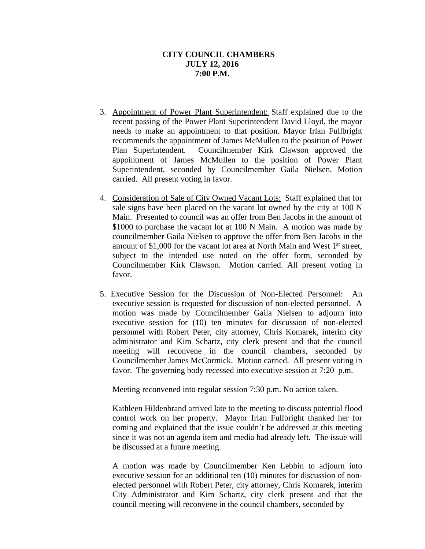### **CITY COUNCIL CHAMBERS JULY 12, 2016 7:00 P.M.**

- 3. Appointment of Power Plant Superintendent: Staff explained due to the recent passing of the Power Plant Superintendent David Lloyd, the mayor needs to make an appointment to that position. Mayor Irlan Fullbright recommends the appointment of James McMullen to the position of Power Plan Superintendent. Councilmember Kirk Clawson approved the appointment of James McMullen to the position of Power Plant Superintendent, seconded by Councilmember Gaila Nielsen. Motion carried. All present voting in favor.
- 4. Consideration of Sale of City Owned Vacant Lots: Staff explained that for sale signs have been placed on the vacant lot owned by the city at 100 N Main. Presented to council was an offer from Ben Jacobs in the amount of \$1000 to purchase the vacant lot at 100 N Main. A motion was made by councilmember Gaila Nielsen to approve the offer from Ben Jacobs in the amount of \$1,000 for the vacant lot area at North Main and West 1<sup>st</sup> street, subject to the intended use noted on the offer form, seconded by Councilmember Kirk Clawson. Motion carried. All present voting in favor.
- 5. Executive Session for the Discussion of Non-Elected Personnel: An executive session is requested for discussion of non-elected personnel. A motion was made by Councilmember Gaila Nielsen to adjourn into executive session for (10) ten minutes for discussion of non-elected personnel with Robert Peter, city attorney, Chris Komarek, interim city administrator and Kim Schartz, city clerk present and that the council meeting will reconvene in the council chambers, seconded by Councilmember James McCormick. Motion carried. All present voting in favor. The governing body recessed into executive session at 7:20 p.m.

Meeting reconvened into regular session 7:30 p.m. No action taken.

Kathleen Hildenbrand arrived late to the meeting to discuss potential flood control work on her property. Mayor Irlan Fullbright thanked her for coming and explained that the issue couldn't be addressed at this meeting since it was not an agenda item and media had already left. The issue will be discussed at a future meeting.

A motion was made by Councilmember Ken Lebbin to adjourn into executive session for an additional ten (10) minutes for discussion of nonelected personnel with Robert Peter, city attorney, Chris Komarek, interim City Administrator and Kim Schartz, city clerk present and that the council meeting will reconvene in the council chambers, seconded by